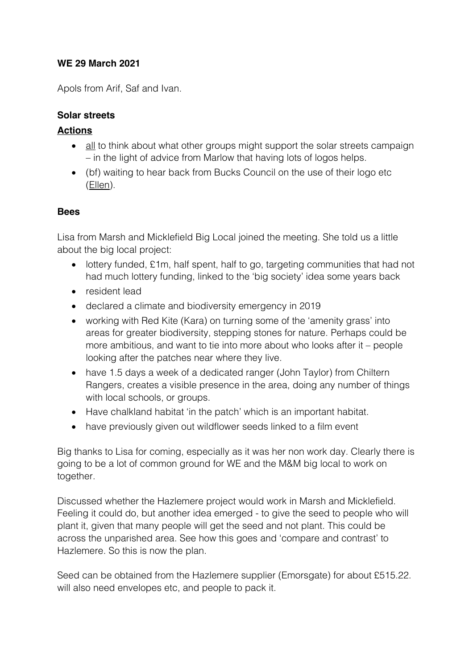## **WE 29 March 2021**

Apols from Arif, Saf and Ivan.

## **Solar streets**

### **Actions**

- all to think about what other groups might support the solar streets campaign – in the light of advice from Marlow that having lots of logos helps.
- (bf) waiting to hear back from Bucks Council on the use of their logo etc (Ellen).

#### **Bees**

Lisa from Marsh and Micklefield Big Local joined the meeting. She told us a little about the big local project:

- lottery funded, £1m, half spent, half to go, targeting communities that had not had much lottery funding, linked to the 'big society' idea some years back
- resident lead
- declared a climate and biodiversity emergency in 2019
- working with Red Kite (Kara) on turning some of the 'amenity grass' into areas for greater biodiversity, stepping stones for nature. Perhaps could be more ambitious, and want to tie into more about who looks after it – people looking after the patches near where they live.
- have 1.5 days a week of a dedicated ranger (John Taylor) from Chiltern Rangers, creates a visible presence in the area, doing any number of things with local schools, or groups.
- Have chalkland habitat 'in the patch' which is an important habitat.
- have previously given out wildflower seeds linked to a film event

Big thanks to Lisa for coming, especially as it was her non work day. Clearly there is going to be a lot of common ground for WE and the M&M big local to work on together.

Discussed whether the Hazlemere project would work in Marsh and Micklefield. Feeling it could do, but another idea emerged - to give the seed to people who will plant it, given that many people will get the seed and not plant. This could be across the unparished area. See how this goes and 'compare and contrast' to Hazlemere. So this is now the plan.

Seed can be obtained from the Hazlemere supplier (Emorsgate) for about £515.22. will also need envelopes etc, and people to pack it.